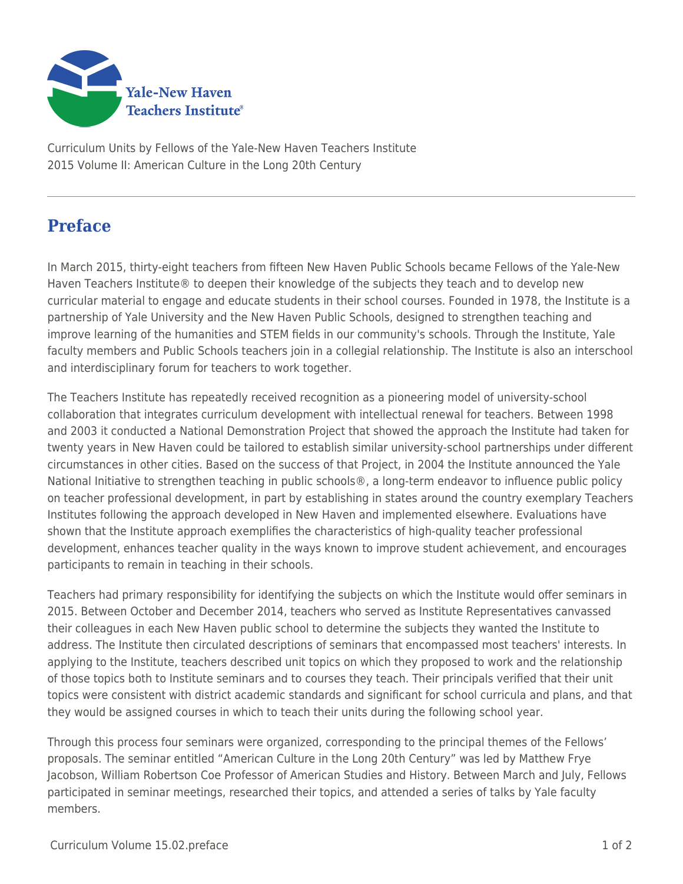

Curriculum Units by Fellows of the Yale-New Haven Teachers Institute 2015 Volume II: American Culture in the Long 20th Century

## **Preface**

In March 2015, thirty-eight teachers from fifteen New Haven Public Schools became Fellows of the Yale-New Haven Teachers Institute® to deepen their knowledge of the subjects they teach and to develop new curricular material to engage and educate students in their school courses. Founded in 1978, the Institute is a partnership of Yale University and the New Haven Public Schools, designed to strengthen teaching and improve learning of the humanities and STEM fields in our community's schools. Through the Institute, Yale faculty members and Public Schools teachers join in a collegial relationship. The Institute is also an interschool and interdisciplinary forum for teachers to work together.

The Teachers Institute has repeatedly received recognition as a pioneering model of university-school collaboration that integrates curriculum development with intellectual renewal for teachers. Between 1998 and 2003 it conducted a National Demonstration Project that showed the approach the Institute had taken for twenty years in New Haven could be tailored to establish similar university-school partnerships under different circumstances in other cities. Based on the success of that Project, in 2004 the Institute announced the Yale National Initiative to strengthen teaching in public schools®, a long-term endeavor to influence public policy on teacher professional development, in part by establishing in states around the country exemplary Teachers Institutes following the approach developed in New Haven and implemented elsewhere. Evaluations have shown that the Institute approach exemplifies the characteristics of high-quality teacher professional development, enhances teacher quality in the ways known to improve student achievement, and encourages participants to remain in teaching in their schools.

Teachers had primary responsibility for identifying the subjects on which the Institute would offer seminars in 2015. Between October and December 2014, teachers who served as Institute Representatives canvassed their colleagues in each New Haven public school to determine the subjects they wanted the Institute to address. The Institute then circulated descriptions of seminars that encompassed most teachers' interests. In applying to the Institute, teachers described unit topics on which they proposed to work and the relationship of those topics both to Institute seminars and to courses they teach. Their principals verified that their unit topics were consistent with district academic standards and significant for school curricula and plans, and that they would be assigned courses in which to teach their units during the following school year.

Through this process four seminars were organized, corresponding to the principal themes of the Fellows' proposals. The seminar entitled "American Culture in the Long 20th Century" was led by Matthew Frye Jacobson, William Robertson Coe Professor of American Studies and History. Between March and July, Fellows participated in seminar meetings, researched their topics, and attended a series of talks by Yale faculty members.